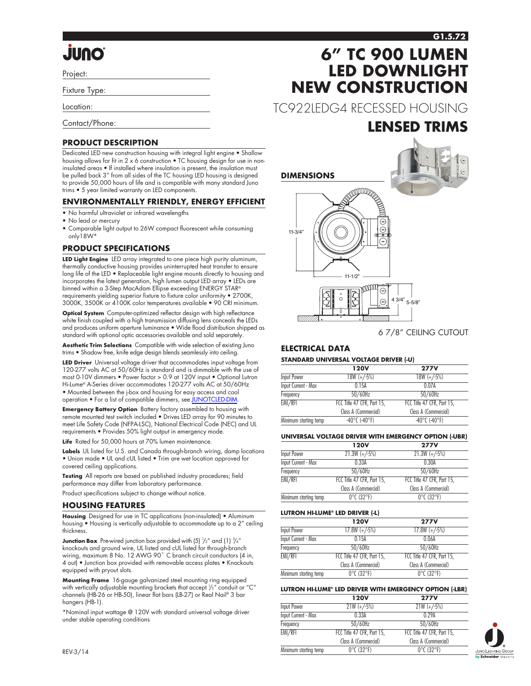#### **G1.5.72**

# **Onul.**

Project:

Fixture Type:

Location:

Contact/Phone:

#### **PRODUCT DESCRIPTION**

Dedicated LED new construction housing with integral light engine • Shallow housing allows for fit in 2 x 6 construction • TC housing design for use in noninsulated areas • If installed where insulation is present, the insulation must be pulled back 3" from all sides of the TC housing LED housing is designed to provide 50,000 hours of life and is compatible with many standard Juno trims • 5 year limited warranty on LED components.

#### **ENVIRONMENTALLY FRIENDLY, ENERGY EFFICIENT**

- No harmful ultraviolet or infrared wavelengths
- No lead or mercury
- Comparable light output to 26W compact fluorescent while consuming only18W\*

#### **PRODUCT SPECIFICATIONS**

**LED Light Engine** LED array integrated to one piece high purity aluminum, thermally conductive housing provides uninterrupted heat transfer to ensure long life of the LED • Replaceable light engine mounts directly to housing and incorporates the latest generation, high lumen output LED array • LEDs are binned within a 3-Step MacAdam Ellipse exceeding ENERGY STAR® requirements yielding superior fixture to fixture color uniformity • 2700K, 3000K, 3500K or 4100K color temperatures available • 90 CRI minimum.

**Optical System** Computer-optimized reflector design with high reflectance white finish coupled with a high transmission diffusing lens conceals the LEDs and produces uniform aperture luminance • Wide flood distribution shipped as standard with optional optic accessories available and sold separately.

**Aesthetic Trim Selections** Compatible with wide selection of existing Juno trims • Shadow free, knife edge design blends seamlessly into ceiling.

**LED Driver** Universal voltage driver that accommodates input voltage from 120-277 volts AC at 50/60Hz is standard and is dimmable with the use of most 0-10V dimmers • Power factor > 0.9 at 120V input • Optional Lutron Hi-Lume® A-Series driver accommodates 120-277 volts AC at 50/60Hz • Mounted between the j-box and housing for easy access and cool operation • For a list of compatible dimmers, see [JUNOTCLED-DIM.](http://www.junolightinggroup.com/Attachments/images/content/SpecSheets/JUNOTCLED-DIM.pdf)

**Emergency Battery Option** Battery factory assembled to housing with remote mounted test switch included • Drives LED array for 90 minutes to meet Life Safety Code (NFPA-LSC), National Electrical Code (NEC) and UL requirements • Provides 50% light output in emergency mode.

Life Rated for 50,000 hours at 70% lumen maintenance

**Labels** UL listed for U.S. and Canada through-branch wiring, damp locations • Union made • UL and cUL listed • Trim are wet location approved for covered ceiling applications.

**Testing** All reports are based on published industry procedures; field performance may differ from laboratory performance.

Product specifications subject to change without notice.

#### **HOUSING FEATURES**

**Housing** Designed for use in TC applications (non-insulated) • Aluminum housing • Housing is vertically adjustable to accommodate up to a 2" ceiling thickness.

**Junction Box** Pre-wired junction box provided with  $(5)$   $\frac{1}{2}$ " and  $(1)$   $\frac{3}{4}$ " knockouts and ground wire, UL listed and cUL listed for through-branch wiring, maximum 8 No. 12 AWG 90˚ C branch circuit conductors (4 in, 4 out) • Junction box provided with removable access plates • Knockouts equipped with pryout slots.

**Mounting Frame** 16-gauge galvanized steel mounting ring equipped with vertically adjustable mounting brackets that accept  $\frac{1}{2}$  conduit or "C" channels (HB-26 or HB-50), linear flat bars (LB-27) or Real Nail® 3 bar hangers (HB-1).

\*Nominal input wattage @ 120V with standard universal voltage driver under stable operating conditions

# **6" TC 900 LUMEN LED DOWNLIGHT NEW CONSTRUCTION**

TC922LEDG4 RECESSED HOUSING

## **LENSED TRIMS**



6 7/8" CEILING CUTOUT

#### **ELECTRICAL DATA**

#### **STANDARD UNIVERSAL VOLTAGE DRIVER (-U)**

|                       | <b>120V</b>                        | <b>277V</b>                        |
|-----------------------|------------------------------------|------------------------------------|
| Input Power           | $18W (+/-5%)$                      | $18W (+/-5%)$                      |
| Input Current - Max   | 0.15A                              | 0.07A                              |
| Frequency             | $50/60$ Hz                         | $50/60$ Hz                         |
| EMI/RFI               | FCC Title 47 CFR, Part 15,         | FCC Title 47 CFR, Part 15,         |
|                       | Class A (Commercial)               | Class A (Commercial)               |
| Minimum starting temp | $-40^{\circ}$ C ( $-40^{\circ}$ F) | $-40^{\circ}$ C ( $-40^{\circ}$ F) |

#### **UNIVERSAL VOLTAGE DRIVER WITH EMERGENCY OPTION (-UBR)**

|                            | <b>120V</b>                     | <b>277V</b>                     |
|----------------------------|---------------------------------|---------------------------------|
| Input Power                | $21.3W (+/-5%)$                 | $21.3W (+/-5%)$                 |
| <b>Input Current - Max</b> | 0.33A                           | 0.30A                           |
| Frequency                  | $50/60$ Hz                      | 50/60Hz                         |
| EMI/RFI                    | FCC Title 47 CFR, Part 15,      | FCC Title 47 CFR, Part 15,      |
|                            | Class A (Commercial)            | Class A (Commercial)            |
| Minimum starting temp      | $0^{\circ}$ C (32 $^{\circ}$ F) | $0^{\circ}$ C (32 $^{\circ}$ F) |
|                            |                                 |                                 |

#### **LUTRON HI-LUME® LED DRIVER (-L)**

|                            | <b>120V</b>                     | <b>277V</b>                     |
|----------------------------|---------------------------------|---------------------------------|
| Input Power                | $17.8W (+/-5%)$                 | $17.8W (+/-5%)$                 |
| <b>Input Current - Max</b> | 0.15A                           | 0.06A                           |
| Frequency                  | 50/60Hz                         | $50/60$ Hz                      |
| EMI/RFI                    | FCC Title 47 CFR, Part 15,      | FCC Title 47 CFR, Part 15.      |
|                            | Class A (Commercial)            | Class A (Commercial)            |
| Minimum starting temp      | $0^{\circ}$ C (32 $^{\circ}$ F) | $0^{\circ}$ C (32 $^{\circ}$ F) |

#### **LUTRON HI-LUME® LED DRIVER WITH EMERGENCY OPTION (-LBR)**

|                            | <b>120V</b>                     | <b>277V</b>                     |
|----------------------------|---------------------------------|---------------------------------|
| Input Power                | $21W (+/-5%)$                   | $21W (+/-5%)$                   |
| <b>Input Current - Max</b> | 0.33A                           | 0.29A                           |
| Frequency                  | $50/60$ Hz                      | $50/60$ Hz                      |
| EMI/RFI                    | FCC Title 47 CFR, Part 15,      | FCC Title 47 CFR, Part 15,      |
|                            | Class A (Commercial)            | Class A (Commercial)            |
| Minimum starting temp      | $0^{\circ}$ C (32 $^{\circ}$ F) | $0^{\circ}$ C (32 $^{\circ}$ F) |